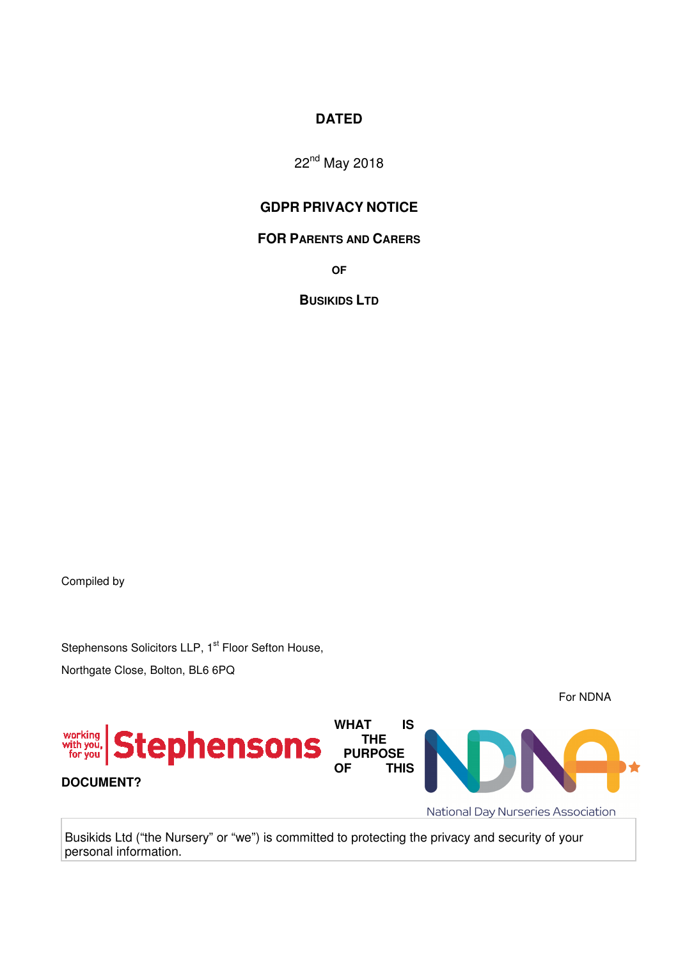# **DATED**

22nd May 2018

# **GDPR PRIVACY NOTICE**

#### **FOR PARENTS AND CARERS**

**OF** 

**BUSIKIDS LTD**

Compiled by

Stephensons Solicitors LLP, 1<sup>st</sup> Floor Sefton House, Northgate Close, Bolton, BL6 6PQ

For NDNA **WHAT IS**  Stephensons working<br>with you,<br>for you **THE PURPOSE OF THIS DOCUMENT?** National Day Nurseries Association

Busikids Ltd ("the Nursery" or "we") is committed to protecting the privacy and security of your personal information.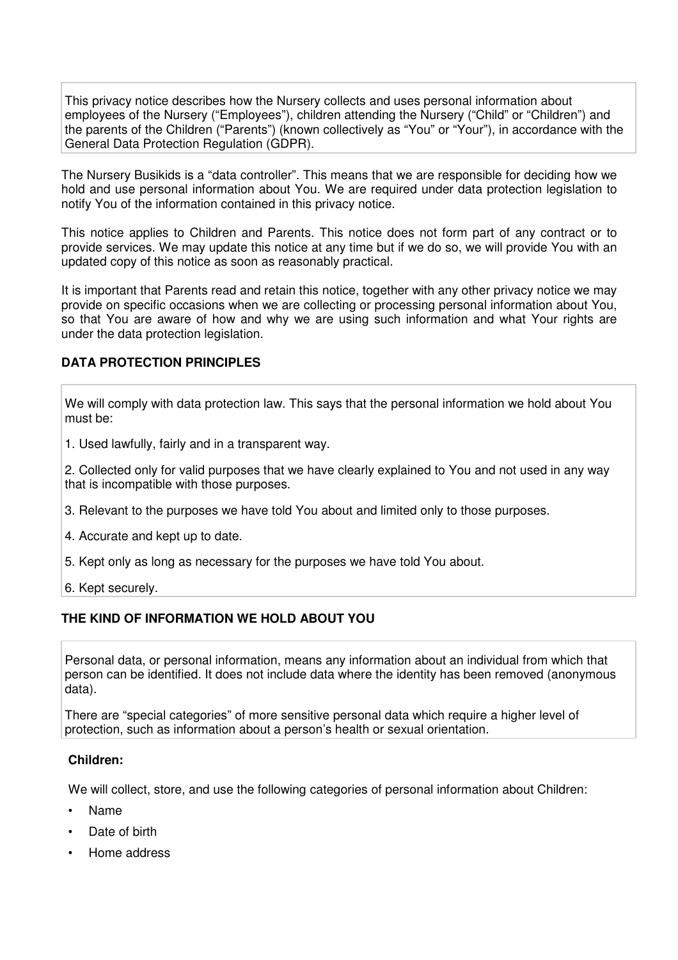This privacy notice describes how the Nursery collects and uses personal information about employees of the Nursery ("Employees"), children attending the Nursery ("Child" or "Children") and the parents of the Children ("Parents") (known collectively as "You" or "Your"), in accordance with the General Data Protection Regulation (GDPR).

The Nursery Busikids is a "data controller". This means that we are responsible for deciding how we hold and use personal information about You. We are required under data protection legislation to notify You of the information contained in this privacy notice.

This notice applies to Children and Parents. This notice does not form part of any contract or to provide services. We may update this notice at any time but if we do so, we will provide You with an updated copy of this notice as soon as reasonably practical.

It is important that Parents read and retain this notice, together with any other privacy notice we may provide on specific occasions when we are collecting or processing personal information about You, so that You are aware of how and why we are using such information and what Your rights are under the data protection legislation.

#### **DATA PROTECTION PRINCIPLES**

We will comply with data protection law. This says that the personal information we hold about You must be:

1. Used lawfully, fairly and in a transparent way.

2. Collected only for valid purposes that we have clearly explained to You and not used in any way that is incompatible with those purposes.

- 3. Relevant to the purposes we have told You about and limited only to those purposes.
- 4. Accurate and kept up to date.
- 5. Kept only as long as necessary for the purposes we have told You about.
- 6. Kept securely.

### **THE KIND OF INFORMATION WE HOLD ABOUT YOU**

Personal data, or personal information, means any information about an individual from which that person can be identified. It does not include data where the identity has been removed (anonymous data).

There are "special categories" of more sensitive personal data which require a higher level of protection, such as information about a person's health or sexual orientation.

#### **Children:**

We will collect, store, and use the following categories of personal information about Children:

- Name
- Date of birth
- Home address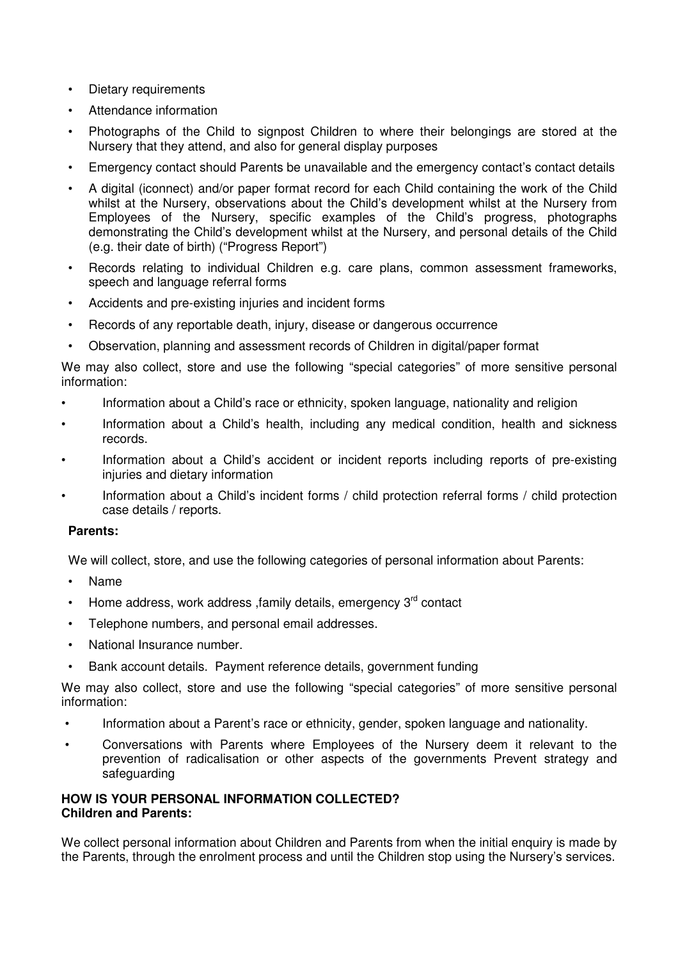- Dietary requirements
- Attendance information
- Photographs of the Child to signpost Children to where their belongings are stored at the Nursery that they attend, and also for general display purposes
- Emergency contact should Parents be unavailable and the emergency contact's contact details
- A digital (iconnect) and/or paper format record for each Child containing the work of the Child whilst at the Nursery, observations about the Child's development whilst at the Nursery from Employees of the Nursery, specific examples of the Child's progress, photographs demonstrating the Child's development whilst at the Nursery, and personal details of the Child (e.g. their date of birth) ("Progress Report")
- Records relating to individual Children e.g. care plans, common assessment frameworks, speech and language referral forms
- Accidents and pre-existing injuries and incident forms
- Records of any reportable death, injury, disease or dangerous occurrence
- Observation, planning and assessment records of Children in digital/paper format

We may also collect, store and use the following "special categories" of more sensitive personal information:

- Information about a Child's race or ethnicity, spoken language, nationality and religion
- Information about a Child's health, including any medical condition, health and sickness records.
- Information about a Child's accident or incident reports including reports of pre-existing injuries and dietary information
- Information about a Child's incident forms / child protection referral forms / child protection case details / reports.

#### **Parents:**

We will collect, store, and use the following categories of personal information about Parents:

- Name
- Home address, work address, family details, emergency  $3<sup>rd</sup>$  contact
- Telephone numbers, and personal email addresses.
- National Insurance number.
- Bank account details. Payment reference details, government funding

We may also collect, store and use the following "special categories" of more sensitive personal information:

- Information about a Parent's race or ethnicity, gender, spoken language and nationality.
- Conversations with Parents where Employees of the Nursery deem it relevant to the prevention of radicalisation or other aspects of the governments Prevent strategy and safeguarding

### **HOW IS YOUR PERSONAL INFORMATION COLLECTED? Children and Parents:**

We collect personal information about Children and Parents from when the initial enquiry is made by the Parents, through the enrolment process and until the Children stop using the Nursery's services.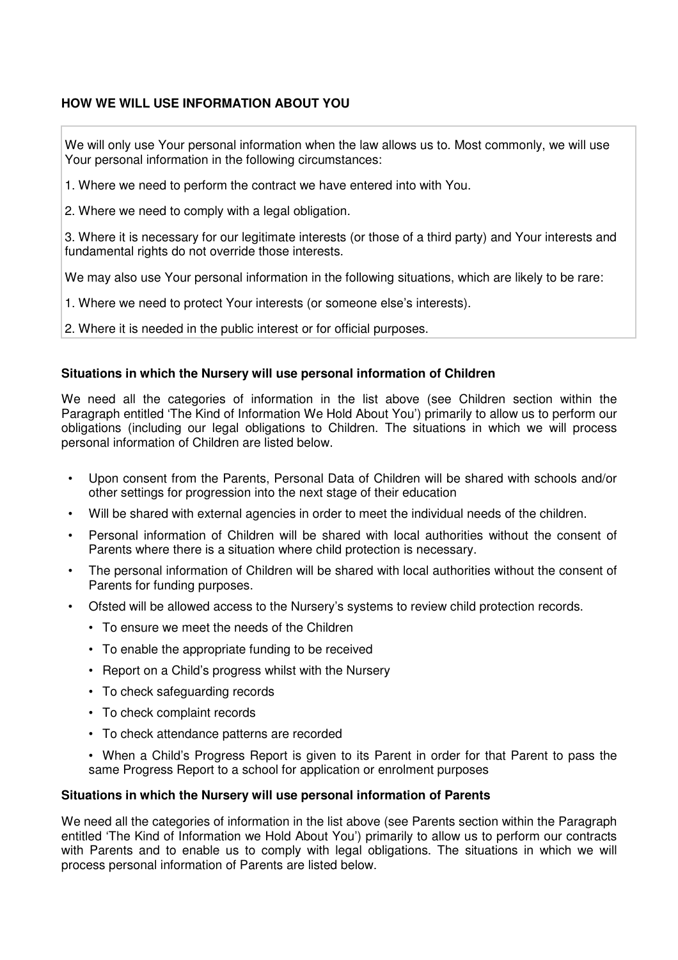## **HOW WE WILL USE INFORMATION ABOUT YOU**

We will only use Your personal information when the law allows us to. Most commonly, we will use Your personal information in the following circumstances:

1. Where we need to perform the contract we have entered into with You.

2. Where we need to comply with a legal obligation.

3. Where it is necessary for our legitimate interests (or those of a third party) and Your interests and fundamental rights do not override those interests.

We may also use Your personal information in the following situations, which are likely to be rare:

1. Where we need to protect Your interests (or someone else's interests).

2. Where it is needed in the public interest or for official purposes.

### **Situations in which the Nursery will use personal information of Children**

We need all the categories of information in the list above (see Children section within the Paragraph entitled 'The Kind of Information We Hold About You') primarily to allow us to perform our obligations (including our legal obligations to Children. The situations in which we will process personal information of Children are listed below.

- Upon consent from the Parents, Personal Data of Children will be shared with schools and/or other settings for progression into the next stage of their education
- Will be shared with external agencies in order to meet the individual needs of the children.
- Personal information of Children will be shared with local authorities without the consent of Parents where there is a situation where child protection is necessary.
- The personal information of Children will be shared with local authorities without the consent of Parents for funding purposes.
- Ofsted will be allowed access to the Nursery's systems to review child protection records.
	- To ensure we meet the needs of the Children
	- To enable the appropriate funding to be received
	- Report on a Child's progress whilst with the Nursery
	- To check safeguarding records
	- To check complaint records
	- To check attendance patterns are recorded
	- When a Child's Progress Report is given to its Parent in order for that Parent to pass the same Progress Report to a school for application or enrolment purposes

#### **Situations in which the Nursery will use personal information of Parents**

We need all the categories of information in the list above (see Parents section within the Paragraph entitled 'The Kind of Information we Hold About You') primarily to allow us to perform our contracts with Parents and to enable us to comply with legal obligations. The situations in which we will process personal information of Parents are listed below.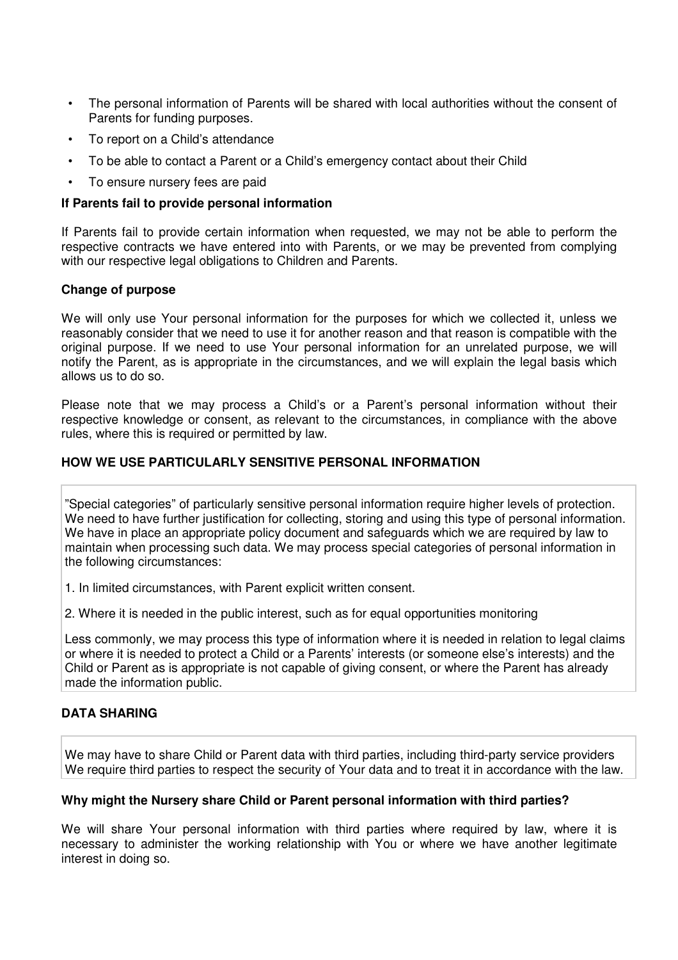- The personal information of Parents will be shared with local authorities without the consent of Parents for funding purposes.
- To report on a Child's attendance
- To be able to contact a Parent or a Child's emergency contact about their Child
- To ensure nursery fees are paid

#### **If Parents fail to provide personal information**

If Parents fail to provide certain information when requested, we may not be able to perform the respective contracts we have entered into with Parents, or we may be prevented from complying with our respective legal obligations to Children and Parents.

#### **Change of purpose**

We will only use Your personal information for the purposes for which we collected it, unless we reasonably consider that we need to use it for another reason and that reason is compatible with the original purpose. If we need to use Your personal information for an unrelated purpose, we will notify the Parent, as is appropriate in the circumstances, and we will explain the legal basis which allows us to do so.

Please note that we may process a Child's or a Parent's personal information without their respective knowledge or consent, as relevant to the circumstances, in compliance with the above rules, where this is required or permitted by law.

## **HOW WE USE PARTICULARLY SENSITIVE PERSONAL INFORMATION**

"Special categories" of particularly sensitive personal information require higher levels of protection. We need to have further justification for collecting, storing and using this type of personal information. We have in place an appropriate policy document and safeguards which we are required by law to maintain when processing such data. We may process special categories of personal information in the following circumstances:

1. In limited circumstances, with Parent explicit written consent.

2. Where it is needed in the public interest, such as for equal opportunities monitoring

Less commonly, we may process this type of information where it is needed in relation to legal claims or where it is needed to protect a Child or a Parents' interests (or someone else's interests) and the Child or Parent as is appropriate is not capable of giving consent, or where the Parent has already made the information public.

## **DATA SHARING**

We may have to share Child or Parent data with third parties, including third-party service providers We require third parties to respect the security of Your data and to treat it in accordance with the law.

#### **Why might the Nursery share Child or Parent personal information with third parties?**

We will share Your personal information with third parties where required by law, where it is necessary to administer the working relationship with You or where we have another legitimate interest in doing so.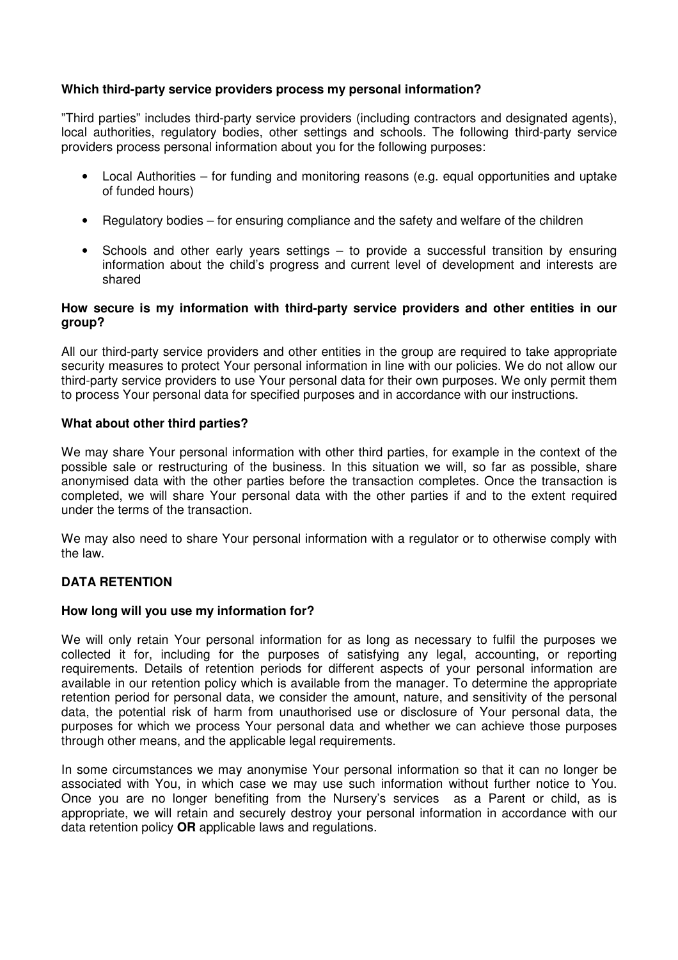### **Which third-party service providers process my personal information?**

"Third parties" includes third-party service providers (including contractors and designated agents), local authorities, regulatory bodies, other settings and schools. The following third-party service providers process personal information about you for the following purposes:

- Local Authorities for funding and monitoring reasons (e.g. equal opportunities and uptake of funded hours)
- Regulatory bodies for ensuring compliance and the safety and welfare of the children
- Schools and other early years settings to provide a successful transition by ensuring information about the child's progress and current level of development and interests are shared

#### **How secure is my information with third-party service providers and other entities in our group?**

All our third-party service providers and other entities in the group are required to take appropriate security measures to protect Your personal information in line with our policies. We do not allow our third-party service providers to use Your personal data for their own purposes. We only permit them to process Your personal data for specified purposes and in accordance with our instructions.

#### **What about other third parties?**

We may share Your personal information with other third parties, for example in the context of the possible sale or restructuring of the business. In this situation we will, so far as possible, share anonymised data with the other parties before the transaction completes. Once the transaction is completed, we will share Your personal data with the other parties if and to the extent required under the terms of the transaction.

We may also need to share Your personal information with a regulator or to otherwise comply with the law.

#### **DATA RETENTION**

#### **How long will you use my information for?**

We will only retain Your personal information for as long as necessary to fulfil the purposes we collected it for, including for the purposes of satisfying any legal, accounting, or reporting requirements. Details of retention periods for different aspects of your personal information are available in our retention policy which is available from the manager. To determine the appropriate retention period for personal data, we consider the amount, nature, and sensitivity of the personal data, the potential risk of harm from unauthorised use or disclosure of Your personal data, the purposes for which we process Your personal data and whether we can achieve those purposes through other means, and the applicable legal requirements.

In some circumstances we may anonymise Your personal information so that it can no longer be associated with You, in which case we may use such information without further notice to You. Once you are no longer benefiting from the Nursery's services as a Parent or child, as is appropriate, we will retain and securely destroy your personal information in accordance with our data retention policy **OR** applicable laws and regulations.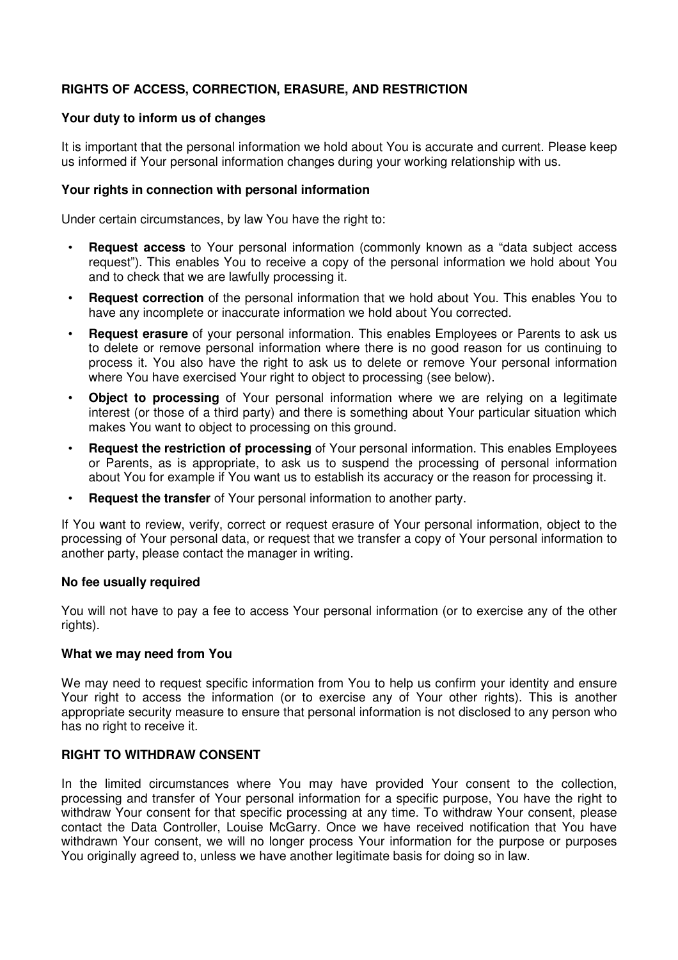## **RIGHTS OF ACCESS, CORRECTION, ERASURE, AND RESTRICTION**

#### **Your duty to inform us of changes**

It is important that the personal information we hold about You is accurate and current. Please keep us informed if Your personal information changes during your working relationship with us.

#### **Your rights in connection with personal information**

Under certain circumstances, by law You have the right to:

- **Request access** to Your personal information (commonly known as a "data subject access request"). This enables You to receive a copy of the personal information we hold about You and to check that we are lawfully processing it.
- **Request correction** of the personal information that we hold about You. This enables You to have any incomplete or inaccurate information we hold about You corrected.
- **Request erasure** of your personal information. This enables Employees or Parents to ask us to delete or remove personal information where there is no good reason for us continuing to process it. You also have the right to ask us to delete or remove Your personal information where You have exercised Your right to object to processing (see below).
- **Object to processing** of Your personal information where we are relying on a legitimate interest (or those of a third party) and there is something about Your particular situation which makes You want to object to processing on this ground.
- **Request the restriction of processing** of Your personal information. This enables Employees or Parents, as is appropriate, to ask us to suspend the processing of personal information about You for example if You want us to establish its accuracy or the reason for processing it.
- **Request the transfer** of Your personal information to another party.

If You want to review, verify, correct or request erasure of Your personal information, object to the processing of Your personal data, or request that we transfer a copy of Your personal information to another party, please contact the manager in writing.

#### **No fee usually required**

You will not have to pay a fee to access Your personal information (or to exercise any of the other rights).

#### **What we may need from You**

We may need to request specific information from You to help us confirm your identity and ensure Your right to access the information (or to exercise any of Your other rights). This is another appropriate security measure to ensure that personal information is not disclosed to any person who has no right to receive it.

#### **RIGHT TO WITHDRAW CONSENT**

In the limited circumstances where You may have provided Your consent to the collection, processing and transfer of Your personal information for a specific purpose, You have the right to withdraw Your consent for that specific processing at any time. To withdraw Your consent, please contact the Data Controller, Louise McGarry. Once we have received notification that You have withdrawn Your consent, we will no longer process Your information for the purpose or purposes You originally agreed to, unless we have another legitimate basis for doing so in law.